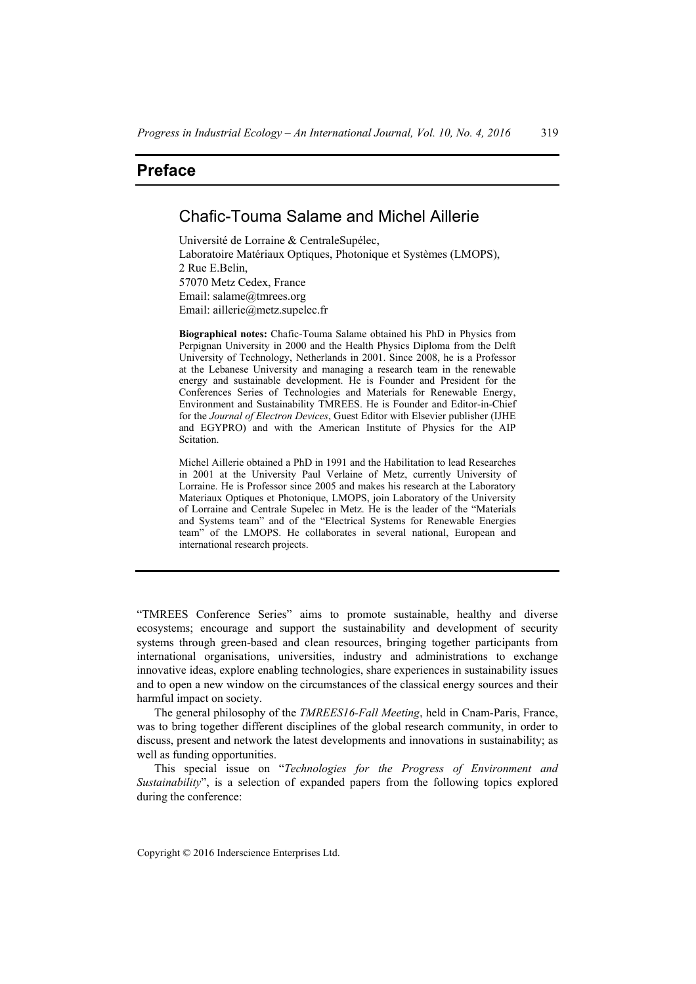## **Preface**

## Chafic-Touma Salame and Michel Aillerie

Université de Lorraine & CentraleSupélec, Laboratoire Matériaux Optiques, Photonique et Systèmes (LMOPS), 2 Rue E.Belin, 57070 Metz Cedex, France Email: salame@tmrees.org Email: aillerie@metz.supelec.fr

**Biographical notes:** Chafic-Touma Salame obtained his PhD in Physics from Perpignan University in 2000 and the Health Physics Diploma from the Delft University of Technology, Netherlands in 2001. Since 2008, he is a Professor at the Lebanese University and managing a research team in the renewable energy and sustainable development. He is Founder and President for the Conferences Series of Technologies and Materials for Renewable Energy, Environment and Sustainability TMREES. He is Founder and Editor-in-Chief for the *Journal of Electron Devices*, Guest Editor with Elsevier publisher (IJHE and EGYPRO) and with the American Institute of Physics for the AIP Scitation.

Michel Aillerie obtained a PhD in 1991 and the Habilitation to lead Researches in 2001 at the University Paul Verlaine of Metz, currently University of Lorraine. He is Professor since 2005 and makes his research at the Laboratory Materiaux Optiques et Photonique, LMOPS, join Laboratory of the University of Lorraine and Centrale Supelec in Metz. He is the leader of the "Materials and Systems team" and of the "Electrical Systems for Renewable Energies team" of the LMOPS. He collaborates in several national, European and international research projects.

"TMREES Conference Series" aims to promote sustainable, healthy and diverse ecosystems; encourage and support the sustainability and development of security systems through green-based and clean resources, bringing together participants from international organisations, universities, industry and administrations to exchange innovative ideas, explore enabling technologies, share experiences in sustainability issues and to open a new window on the circumstances of the classical energy sources and their harmful impact on society.

The general philosophy of the *TMREES16-Fall Meeting*, held in Cnam-Paris, France, was to bring together different disciplines of the global research community, in order to discuss, present and network the latest developments and innovations in sustainability; as well as funding opportunities.

This special issue on "*Technologies for the Progress of Environment and Sustainability*", is a selection of expanded papers from the following topics explored during the conference:

Copyright © 2016 Inderscience Enterprises Ltd.